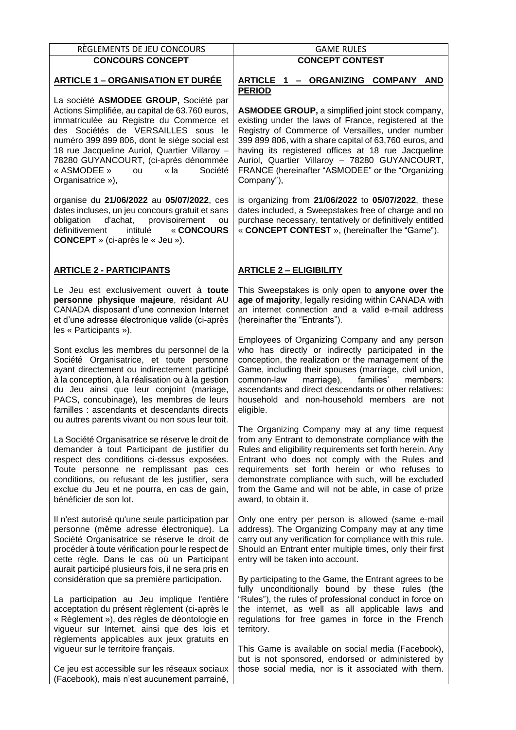| RÈGLEMENTS DE JEU CONCOURS                                                                                                                                                                                                                                                                                                                                                             | <b>GAME RULES</b>                                                                                                                                                                                                                                                                                                                                                                                            |
|----------------------------------------------------------------------------------------------------------------------------------------------------------------------------------------------------------------------------------------------------------------------------------------------------------------------------------------------------------------------------------------|--------------------------------------------------------------------------------------------------------------------------------------------------------------------------------------------------------------------------------------------------------------------------------------------------------------------------------------------------------------------------------------------------------------|
| <b>CONCOURS CONCEPT</b>                                                                                                                                                                                                                                                                                                                                                                | <b>CONCEPT CONTEST</b>                                                                                                                                                                                                                                                                                                                                                                                       |
| <u> ARTICLE 1 – ORGANISATION ET DURÉE</u>                                                                                                                                                                                                                                                                                                                                              | ARTICLE 1 - ORGANIZING COMPANY AND<br><b>PERIOD</b>                                                                                                                                                                                                                                                                                                                                                          |
| La société ASMODEE GROUP, Société par<br>Actions Simplifiée, au capital de 63.760 euros,<br>immatriculée au Registre du Commerce et<br>des Sociétés de VERSAILLES sous le<br>numéro 399 899 806, dont le siège social est<br>18 rue Jacqueline Auriol, Quartier Villaroy -<br>78280 GUYANCOURT, (ci-après dénommée<br>« ASMODEE »<br>« la<br>Société<br>ou<br>Organisatrice »),        | <b>ASMODEE GROUP, a simplified joint stock company,</b><br>existing under the laws of France, registered at the<br>Registry of Commerce of Versailles, under number<br>399 899 806, with a share capital of 63,760 euros, and<br>having its registered offices at 18 rue Jacqueline<br>Auriol, Quartier Villaroy - 78280 GUYANCOURT,<br>FRANCE (hereinafter "ASMODEE" or the "Organizing<br>Company"),       |
| organise du 21/06/2022 au 05/07/2022, ces<br>dates incluses, un jeu concours gratuit et sans<br>d'achat,<br>provisoirement<br>obligation<br>ou<br>définitivement<br>intitulé<br>« CONCOURS<br><b>CONCEPT</b> » (ci-après le « Jeu »).                                                                                                                                                  | is organizing from 21/06/2022 to 05/07/2022, these<br>dates included, a Sweepstakes free of charge and no<br>purchase necessary, tentatively or definitively entitled<br>« CONCEPT CONTEST », (hereinafter the "Game").                                                                                                                                                                                      |
| <b>ARTICLE 2 - PARTICIPANTS</b>                                                                                                                                                                                                                                                                                                                                                        | <b>ARTICLE 2 - ELIGIBILITY</b>                                                                                                                                                                                                                                                                                                                                                                               |
| Le Jeu est exclusivement ouvert à toute<br>personne physique majeure, résidant AU<br>CANADA disposant d'une connexion Internet<br>et d'une adresse électronique valide (ci-après<br>les « Participants »).                                                                                                                                                                             | This Sweepstakes is only open to anyone over the<br>age of majority, legally residing within CANADA with<br>an internet connection and a valid e-mail address<br>(hereinafter the "Entrants").                                                                                                                                                                                                               |
| Sont exclus les membres du personnel de la<br>Société Organisatrice, et toute personne<br>ayant directement ou indirectement participé<br>à la conception, à la réalisation ou à la gestion<br>du Jeu ainsi que leur conjoint (mariage,<br>PACS, concubinage), les membres de leurs<br>familles : ascendants et descendants directs<br>ou autres parents vivant ou non sous leur toit. | Employees of Organizing Company and any person<br>who has directly or indirectly participated in the<br>conception, the realization or the management of the<br>Game, including their spouses (marriage, civil union,<br>families'<br>common-law<br>marriage),<br>members:<br>ascendants and direct descendants or other relatives:<br>household and non-household members are not<br>eligible.              |
| La Société Organisatrice se réserve le droit de<br>demander à tout Participant de justifier du<br>respect des conditions ci-dessus exposées.<br>Toute personne ne remplissant pas ces<br>conditions, ou refusant de les justifier, sera<br>exclue du Jeu et ne pourra, en cas de gain,<br>bénéficier de son lot.                                                                       | The Organizing Company may at any time request<br>from any Entrant to demonstrate compliance with the<br>Rules and eligibility requirements set forth herein. Any<br>Entrant who does not comply with the Rules and<br>requirements set forth herein or who refuses to<br>demonstrate compliance with such, will be excluded<br>from the Game and will not be able, in case of prize<br>award, to obtain it. |
| Il n'est autorisé qu'une seule participation par<br>personne (même adresse électronique). La<br>Société Organisatrice se réserve le droit de<br>procéder à toute vérification pour le respect de<br>cette règle. Dans le cas où un Participant<br>aurait participé plusieurs fois, il ne sera pris en                                                                                  | Only one entry per person is allowed (same e-mail<br>address). The Organizing Company may at any time<br>carry out any verification for compliance with this rule.<br>Should an Entrant enter multiple times, only their first<br>entry will be taken into account.                                                                                                                                          |
| considération que sa première participation.<br>La participation au Jeu implique l'entière<br>acceptation du présent règlement (ci-après le<br>« Règlement »), des règles de déontologie en<br>vigueur sur Internet, ainsi que des lois et<br>règlements applicables aux jeux gratuits en                                                                                              | By participating to the Game, the Entrant agrees to be<br>fully unconditionally bound by these rules (the<br>"Rules"), the rules of professional conduct in force on<br>the internet, as well as all applicable laws and<br>regulations for free games in force in the French<br>territory.                                                                                                                  |
| vigueur sur le territoire français.<br>Ce jeu est accessible sur les réseaux sociaux<br>(Facebook), mais n'est aucunement parrainé,                                                                                                                                                                                                                                                    | This Game is available on social media (Facebook),<br>but is not sponsored, endorsed or administered by<br>those social media, nor is it associated with them.                                                                                                                                                                                                                                               |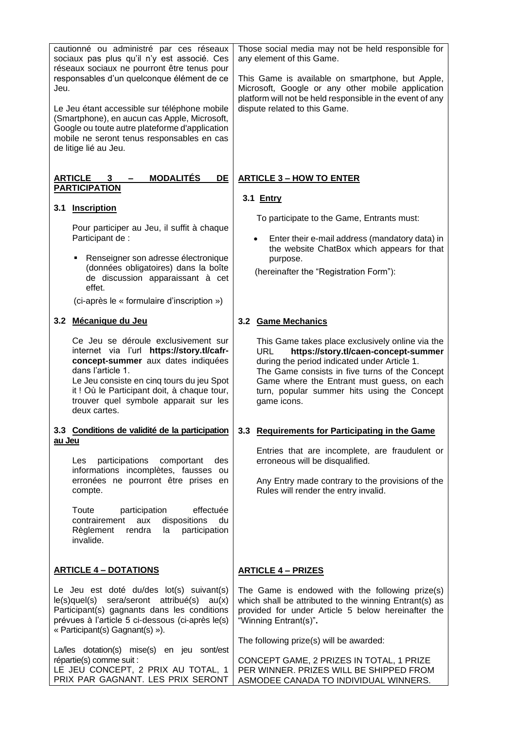| cautionné ou administré par ces réseaux<br>sociaux pas plus qu'il n'y est associé. Ces<br>réseaux sociaux ne pourront être tenus pour<br>responsables d'un quelconque élément de ce<br>Jeu.<br>Le Jeu étant accessible sur téléphone mobile<br>(Smartphone), en aucun cas Apple, Microsoft,<br>Google ou toute autre plateforme d'application<br>mobile ne seront tenus responsables en cas<br>de litige lié au Jeu. | Those social media may not be held responsible for<br>any element of this Game.<br>This Game is available on smartphone, but Apple,<br>Microsoft, Google or any other mobile application<br>platform will not be held responsible in the event of any<br>dispute related to this Game.                               |
|----------------------------------------------------------------------------------------------------------------------------------------------------------------------------------------------------------------------------------------------------------------------------------------------------------------------------------------------------------------------------------------------------------------------|----------------------------------------------------------------------------------------------------------------------------------------------------------------------------------------------------------------------------------------------------------------------------------------------------------------------|
| <b>MODALITÉS</b><br><b>ARTICLE</b><br>DE<br>3                                                                                                                                                                                                                                                                                                                                                                        | <b>ARTICLE 3 - HOW TO ENTER</b>                                                                                                                                                                                                                                                                                      |
| <b>PARTICIPATION</b>                                                                                                                                                                                                                                                                                                                                                                                                 |                                                                                                                                                                                                                                                                                                                      |
|                                                                                                                                                                                                                                                                                                                                                                                                                      | 3.1 <b>Entry</b>                                                                                                                                                                                                                                                                                                     |
| <b>Inscription</b><br>3.1                                                                                                                                                                                                                                                                                                                                                                                            |                                                                                                                                                                                                                                                                                                                      |
|                                                                                                                                                                                                                                                                                                                                                                                                                      | To participate to the Game, Entrants must:                                                                                                                                                                                                                                                                           |
| Pour participer au Jeu, il suffit à chaque                                                                                                                                                                                                                                                                                                                                                                           |                                                                                                                                                                                                                                                                                                                      |
| Participant de :                                                                                                                                                                                                                                                                                                                                                                                                     | Enter their e-mail address (mandatory data) in<br>٠                                                                                                                                                                                                                                                                  |
|                                                                                                                                                                                                                                                                                                                                                                                                                      | the website ChatBox which appears for that                                                                                                                                                                                                                                                                           |
| Renseigner son adresse électronique<br>٠                                                                                                                                                                                                                                                                                                                                                                             | purpose.                                                                                                                                                                                                                                                                                                             |
| (données obligatoires) dans la boîte                                                                                                                                                                                                                                                                                                                                                                                 | (hereinafter the "Registration Form"):                                                                                                                                                                                                                                                                               |
| de discussion apparaissant à cet                                                                                                                                                                                                                                                                                                                                                                                     |                                                                                                                                                                                                                                                                                                                      |
| effet.                                                                                                                                                                                                                                                                                                                                                                                                               |                                                                                                                                                                                                                                                                                                                      |
| (ci-après le « formulaire d'inscription »)                                                                                                                                                                                                                                                                                                                                                                           |                                                                                                                                                                                                                                                                                                                      |
|                                                                                                                                                                                                                                                                                                                                                                                                                      |                                                                                                                                                                                                                                                                                                                      |
| Mécanique du Jeu<br>3.2                                                                                                                                                                                                                                                                                                                                                                                              | 3.2 Game Mechanics                                                                                                                                                                                                                                                                                                   |
|                                                                                                                                                                                                                                                                                                                                                                                                                      |                                                                                                                                                                                                                                                                                                                      |
| Ce Jeu se déroule exclusivement sur<br>internet via l'url https://story.tl/cafr-<br>concept-summer aux dates indiquées<br>dans l'article 1.<br>Le Jeu consiste en cinq tours du jeu Spot<br>it ! Où le Participant doit, à chaque tour,<br>trouver quel symbole apparait sur les<br>deux cartes.                                                                                                                     | This Game takes place exclusively online via the<br>https://story.tl/caen-concept-summer<br><b>URL</b><br>during the period indicated under Article 1.<br>The Game consists in five turns of the Concept<br>Game where the Entrant must guess, on each<br>turn, popular summer hits using the Concept<br>game icons. |
| 3.3 Conditions de validité de la participation                                                                                                                                                                                                                                                                                                                                                                       | 3.3 Requirements for Participating in the Game                                                                                                                                                                                                                                                                       |
| <u>au Jeu</u>                                                                                                                                                                                                                                                                                                                                                                                                        |                                                                                                                                                                                                                                                                                                                      |
| participations<br>comportant<br>Les<br>des                                                                                                                                                                                                                                                                                                                                                                           | Entries that are incomplete, are fraudulent or<br>erroneous will be disqualified.                                                                                                                                                                                                                                    |
| informations incomplètes, fausses ou<br>erronées ne pourront être prises en                                                                                                                                                                                                                                                                                                                                          |                                                                                                                                                                                                                                                                                                                      |
| compte.                                                                                                                                                                                                                                                                                                                                                                                                              | Any Entry made contrary to the provisions of the<br>Rules will render the entry invalid.                                                                                                                                                                                                                             |
| participation<br>Toute<br>effectuée                                                                                                                                                                                                                                                                                                                                                                                  |                                                                                                                                                                                                                                                                                                                      |
| dispositions<br>contrairement<br>aux<br>du                                                                                                                                                                                                                                                                                                                                                                           |                                                                                                                                                                                                                                                                                                                      |
| rendra<br>la participation<br>Règlement                                                                                                                                                                                                                                                                                                                                                                              |                                                                                                                                                                                                                                                                                                                      |
| invalide.                                                                                                                                                                                                                                                                                                                                                                                                            |                                                                                                                                                                                                                                                                                                                      |
|                                                                                                                                                                                                                                                                                                                                                                                                                      |                                                                                                                                                                                                                                                                                                                      |
|                                                                                                                                                                                                                                                                                                                                                                                                                      |                                                                                                                                                                                                                                                                                                                      |
| <b>ARTICLE 4 - DOTATIONS</b>                                                                                                                                                                                                                                                                                                                                                                                         | <b>ARTICLE 4 - PRIZES</b>                                                                                                                                                                                                                                                                                            |
|                                                                                                                                                                                                                                                                                                                                                                                                                      |                                                                                                                                                                                                                                                                                                                      |
| Le Jeu est doté du/des lot(s) suivant(s)                                                                                                                                                                                                                                                                                                                                                                             | The Game is endowed with the following prize(s)                                                                                                                                                                                                                                                                      |
| $le(s)$ quel(s) sera/seront attribué(s) $au(x)$                                                                                                                                                                                                                                                                                                                                                                      | which shall be attributed to the winning Entrant(s) as                                                                                                                                                                                                                                                               |
| Participant(s) gagnants dans les conditions                                                                                                                                                                                                                                                                                                                                                                          | provided for under Article 5 below hereinafter the                                                                                                                                                                                                                                                                   |
| prévues à l'article 5 ci-dessous (ci-après le(s)                                                                                                                                                                                                                                                                                                                                                                     | "Winning Entrant(s)".                                                                                                                                                                                                                                                                                                |
| « Participant(s) Gagnant(s) »).                                                                                                                                                                                                                                                                                                                                                                                      |                                                                                                                                                                                                                                                                                                                      |
|                                                                                                                                                                                                                                                                                                                                                                                                                      | The following prize(s) will be awarded:                                                                                                                                                                                                                                                                              |
| La/les dotation(s) mise(s) en jeu sont/est                                                                                                                                                                                                                                                                                                                                                                           |                                                                                                                                                                                                                                                                                                                      |
| répartie(s) comme suit :                                                                                                                                                                                                                                                                                                                                                                                             | CONCEPT GAME, 2 PRIZES IN TOTAL, 1 PRIZE                                                                                                                                                                                                                                                                             |
| LE JEU CONCEPT, 2 PRIX AU TOTAL, 1                                                                                                                                                                                                                                                                                                                                                                                   | PER WINNER. PRIZES WILL BE SHIPPED FROM                                                                                                                                                                                                                                                                              |
| PRIX PAR GAGNANT. LES PRIX SERONT                                                                                                                                                                                                                                                                                                                                                                                    | ASMODEE CANADA TO INDIVIDUAL WINNERS.                                                                                                                                                                                                                                                                                |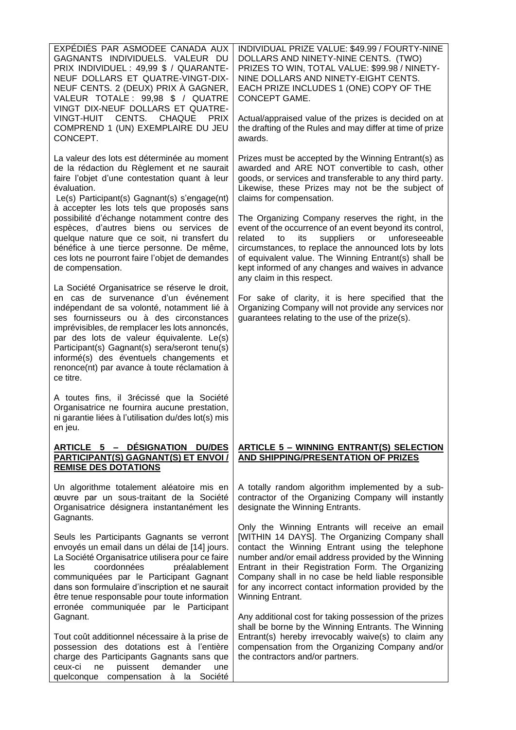| EXPÉDIÉS PAR ASMODEE CANADA AUX<br>GAGNANTS INDIVIDUELS. VALEUR DU<br>PRIX INDIVIDUEL : 49,99 \$ / QUARANTE-<br>NEUF DOLLARS ET QUATRE-VINGT-DIX-<br>NEUF CENTS. 2 (DEUX) PRIX À GAGNER,<br>VALEUR TOTALE: 99,98 \$ / QUATRE<br>VINGT DIX-NEUF DOLLARS ET QUATRE-<br>VINGT-HUIT CENTS. CHAQUE<br><b>PRIX</b><br>COMPREND 1 (UN) EXEMPLAIRE DU JEU<br>CONCEPT.                                                                                                                                                                                                                                                                                                                                                                                                                                                                                                                                                                                             | INDIVIDUAL PRIZE VALUE: \$49.99 / FOURTY-NINE<br>DOLLARS AND NINETY-NINE CENTS. (TWO)<br>PRIZES TO WIN, TOTAL VALUE: \$99.98 / NINETY-<br>NINE DOLLARS AND NINETY-EIGHT CENTS.<br>EACH PRIZE INCLUDES 1 (ONE) COPY OF THE<br>CONCEPT GAME.<br>Actual/appraised value of the prizes is decided on at<br>the drafting of the Rules and may differ at time of prize<br>awards.                                                                                                                                                                                                                                                                                                                                                                                                                        |
|-----------------------------------------------------------------------------------------------------------------------------------------------------------------------------------------------------------------------------------------------------------------------------------------------------------------------------------------------------------------------------------------------------------------------------------------------------------------------------------------------------------------------------------------------------------------------------------------------------------------------------------------------------------------------------------------------------------------------------------------------------------------------------------------------------------------------------------------------------------------------------------------------------------------------------------------------------------|----------------------------------------------------------------------------------------------------------------------------------------------------------------------------------------------------------------------------------------------------------------------------------------------------------------------------------------------------------------------------------------------------------------------------------------------------------------------------------------------------------------------------------------------------------------------------------------------------------------------------------------------------------------------------------------------------------------------------------------------------------------------------------------------------|
| La valeur des lots est déterminée au moment<br>de la rédaction du Règlement et ne saurait<br>faire l'objet d'une contestation quant à leur<br>évaluation.<br>Le(s) Participant(s) Gagnant(s) s'engage(nt)<br>à accepter les lots tels que proposés sans<br>possibilité d'échange notamment contre des<br>espèces, d'autres biens ou services de<br>quelque nature que ce soit, ni transfert du<br>bénéfice à une tierce personne. De même,<br>ces lots ne pourront faire l'objet de demandes<br>de compensation.<br>La Société Organisatrice se réserve le droit,<br>en cas de survenance d'un événement<br>indépendant de sa volonté, notamment lié à<br>ses fournisseurs ou à des circonstances<br>imprévisibles, de remplacer les lots annoncés,<br>par des lots de valeur équivalente. Le(s)<br>Participant(s) Gagnant(s) sera/seront tenu(s)<br>informé(s) des éventuels changements et<br>renonce(nt) par avance à toute réclamation à<br>ce titre. | Prizes must be accepted by the Winning Entrant(s) as<br>awarded and ARE NOT convertible to cash, other<br>goods, or services and transferable to any third party.<br>Likewise, these Prizes may not be the subject of<br>claims for compensation.<br>The Organizing Company reserves the right, in the<br>event of the occurrence of an event beyond its control,<br>suppliers<br>related<br>to<br>its<br>or<br>unforeseeable<br>circumstances, to replace the announced lots by lots<br>of equivalent value. The Winning Entrant(s) shall be<br>kept informed of any changes and waives in advance<br>any claim in this respect.<br>For sake of clarity, it is here specified that the<br>Organizing Company will not provide any services nor<br>guarantees relating to the use of the prize(s). |
| A toutes fins, il 3récissé que la Société<br>Organisatrice ne fournira aucune prestation,<br>ni garantie liées à l'utilisation du/des lot(s) mis<br>en jeu.                                                                                                                                                                                                                                                                                                                                                                                                                                                                                                                                                                                                                                                                                                                                                                                               |                                                                                                                                                                                                                                                                                                                                                                                                                                                                                                                                                                                                                                                                                                                                                                                                    |
| <u>ARTICLE 5 - DÉSIGNATION DU/DES</u><br>PARTICIPANT(S) GAGNANT(S) ET ENVOLI<br><b>REMISE DES DOTATIONS</b>                                                                                                                                                                                                                                                                                                                                                                                                                                                                                                                                                                                                                                                                                                                                                                                                                                               | <b>ARTICLE 5 - WINNING ENTRANT(S) SELECTION</b><br>AND SHIPPING/PRESENTATION OF PRIZES                                                                                                                                                                                                                                                                                                                                                                                                                                                                                                                                                                                                                                                                                                             |
| Un algorithme totalement aléatoire mis en<br>œuvre par un sous-traitant de la Société<br>Organisatrice désignera instantanément les<br>Gagnants.                                                                                                                                                                                                                                                                                                                                                                                                                                                                                                                                                                                                                                                                                                                                                                                                          | A totally random algorithm implemented by a sub-<br>contractor of the Organizing Company will instantly<br>designate the Winning Entrants.                                                                                                                                                                                                                                                                                                                                                                                                                                                                                                                                                                                                                                                         |
| Seuls les Participants Gagnants se verront<br>envoyés un email dans un délai de [14] jours.<br>La Société Organisatrice utilisera pour ce faire<br>coordonnées<br>préalablement<br>les<br>communiquées par le Participant Gagnant<br>dans son formulaire d'inscription et ne saurait<br>être tenue responsable pour toute information<br>erronée communiquée par le Participant<br>Gagnant.                                                                                                                                                                                                                                                                                                                                                                                                                                                                                                                                                               | Only the Winning Entrants will receive an email<br>[WITHIN 14 DAYS]. The Organizing Company shall<br>contact the Winning Entrant using the telephone<br>number and/or email address provided by the Winning<br>Entrant in their Registration Form. The Organizing<br>Company shall in no case be held liable responsible<br>for any incorrect contact information provided by the<br>Winning Entrant.<br>Any additional cost for taking possession of the prizes                                                                                                                                                                                                                                                                                                                                   |
| Tout coût additionnel nécessaire à la prise de<br>possession des dotations est à l'entière<br>charge des Participants Gagnants sans que<br>demander<br>ceux-ci<br>puissent<br>ne<br>une<br>quelconque compensation à la Société                                                                                                                                                                                                                                                                                                                                                                                                                                                                                                                                                                                                                                                                                                                           | shall be borne by the Winning Entrants. The Winning<br>Entrant(s) hereby irrevocably waive(s) to claim any<br>compensation from the Organizing Company and/or<br>the contractors and/or partners.                                                                                                                                                                                                                                                                                                                                                                                                                                                                                                                                                                                                  |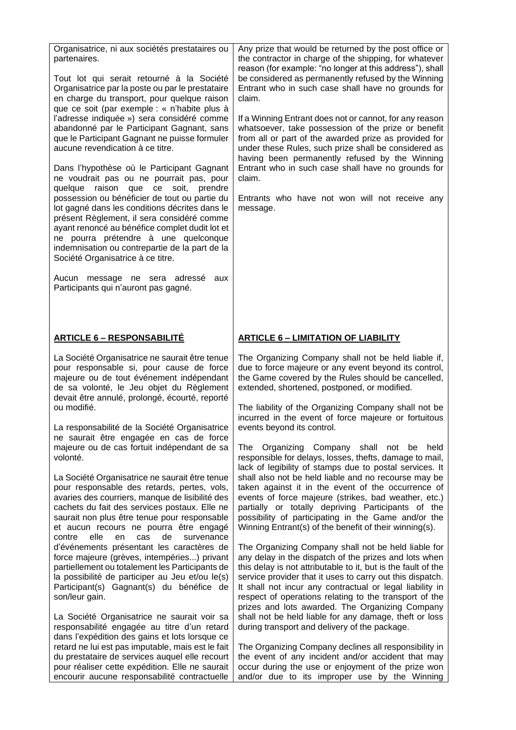| Organisatrice, ni aux sociétés prestataires ou<br>partenaires.<br>Tout lot qui serait retourné à la Société<br>Organisatrice par la poste ou par le prestataire<br>en charge du transport, pour quelque raison<br>que ce soit (par exemple : « n'habite plus à<br>l'adresse indiquée ») sera considéré comme<br>abandonné par le Participant Gagnant, sans<br>que le Participant Gagnant ne puisse formuler<br>aucune revendication à ce titre.<br>Dans l'hypothèse où le Participant Gagnant<br>ne voudrait pas ou ne pourrait pas, pour<br>quelque raison<br>que ce<br>soit,<br>prendre<br>possession ou bénéficier de tout ou partie du<br>lot gagné dans les conditions décrites dans le<br>présent Règlement, il sera considéré comme<br>ayant renoncé au bénéfice complet dudit lot et<br>ne pourra prétendre à une quelconque<br>indemnisation ou contrepartie de la part de la<br>Société Organisatrice à ce titre.<br>Aucun<br>message ne sera adressé<br>aux<br>Participants qui n'auront pas gagné. | Any prize that would be returned by the post office or<br>the contractor in charge of the shipping, for whatever<br>reason (for example: "no longer at this address"), shall<br>be considered as permanently refused by the Winning<br>Entrant who in such case shall have no grounds for<br>claim.<br>If a Winning Entrant does not or cannot, for any reason<br>whatsoever, take possession of the prize or benefit<br>from all or part of the awarded prize as provided for<br>under these Rules, such prize shall be considered as<br>having been permanently refused by the Winning<br>Entrant who in such case shall have no grounds for<br>claim.<br>Entrants who have not won will not receive any<br>message.                                                   |
|----------------------------------------------------------------------------------------------------------------------------------------------------------------------------------------------------------------------------------------------------------------------------------------------------------------------------------------------------------------------------------------------------------------------------------------------------------------------------------------------------------------------------------------------------------------------------------------------------------------------------------------------------------------------------------------------------------------------------------------------------------------------------------------------------------------------------------------------------------------------------------------------------------------------------------------------------------------------------------------------------------------|--------------------------------------------------------------------------------------------------------------------------------------------------------------------------------------------------------------------------------------------------------------------------------------------------------------------------------------------------------------------------------------------------------------------------------------------------------------------------------------------------------------------------------------------------------------------------------------------------------------------------------------------------------------------------------------------------------------------------------------------------------------------------|
| <u> ARTICLE 6 – RESPONSABILITÉ</u>                                                                                                                                                                                                                                                                                                                                                                                                                                                                                                                                                                                                                                                                                                                                                                                                                                                                                                                                                                             | <b>ARTICLE 6 - LIMITATION OF LIABILITY</b>                                                                                                                                                                                                                                                                                                                                                                                                                                                                                                                                                                                                                                                                                                                               |
| La Société Organisatrice ne saurait être tenue<br>pour responsable si, pour cause de force<br>majeure ou de tout événement indépendant<br>de sa volonté, le Jeu objet du Règlement<br>devait être annulé, prolongé, écourté, reporté<br>ou modifié.<br>La responsabilité de la Société Organisatrice<br>ne saurait être engagée en cas de force<br>majeure ou de cas fortuit indépendant de sa<br>volonté.                                                                                                                                                                                                                                                                                                                                                                                                                                                                                                                                                                                                     | The Organizing Company shall not be held liable if,<br>due to force majeure or any event beyond its control,<br>the Game covered by the Rules should be cancelled,<br>extended, shortened, postponed, or modified.<br>The liability of the Organizing Company shall not be<br>incurred in the event of force majeure or fortuitous<br>events beyond its control.<br>Organizing Company shall<br>The<br>not be<br>held<br>responsible for delays, losses, thefts, damage to mail,                                                                                                                                                                                                                                                                                         |
| La Société Organisatrice ne saurait être tenue<br>pour responsable des retards, pertes, vols,<br>avaries des courriers, manque de lisibilité des<br>cachets du fait des services postaux. Elle ne<br>saurait non plus être tenue pour responsable<br>et aucun recours ne pourra être engagé<br>contre<br>elle<br>de<br>en<br>cas<br>survenance<br>d'événements présentant les caractères de<br>force majeure (grèves, intempéries) privant<br>partiellement ou totalement les Participants de<br>la possibilité de participer au Jeu et/ou le(s)<br>Participant(s) Gagnant(s) du bénéfice de<br>son/leur gain.                                                                                                                                                                                                                                                                                                                                                                                                 | lack of legibility of stamps due to postal services. It<br>shall also not be held liable and no recourse may be<br>taken against it in the event of the occurrence of<br>events of force majeure (strikes, bad weather, etc.)<br>partially or totally depriving Participants of the<br>possibility of participating in the Game and/or the<br>Winning Entrant(s) of the benefit of their winning(s).<br>The Organizing Company shall not be held liable for<br>any delay in the dispatch of the prizes and lots when<br>this delay is not attributable to it, but is the fault of the<br>service provider that it uses to carry out this dispatch.<br>It shall not incur any contractual or legal liability in<br>respect of operations relating to the transport of the |
| La Société Organisatrice ne saurait voir sa<br>responsabilité engagée au titre d'un retard<br>dans l'expédition des gains et lots lorsque ce<br>retard ne lui est pas imputable, mais est le fait<br>du prestataire de services auquel elle recourt<br>pour réaliser cette expédition. Elle ne saurait                                                                                                                                                                                                                                                                                                                                                                                                                                                                                                                                                                                                                                                                                                         | prizes and lots awarded. The Organizing Company<br>shall not be held liable for any damage, theft or loss<br>during transport and delivery of the package.<br>The Organizing Company declines all responsibility in<br>the event of any incident and/or accident that may<br>occur during the use or enjoyment of the prize won                                                                                                                                                                                                                                                                                                                                                                                                                                          |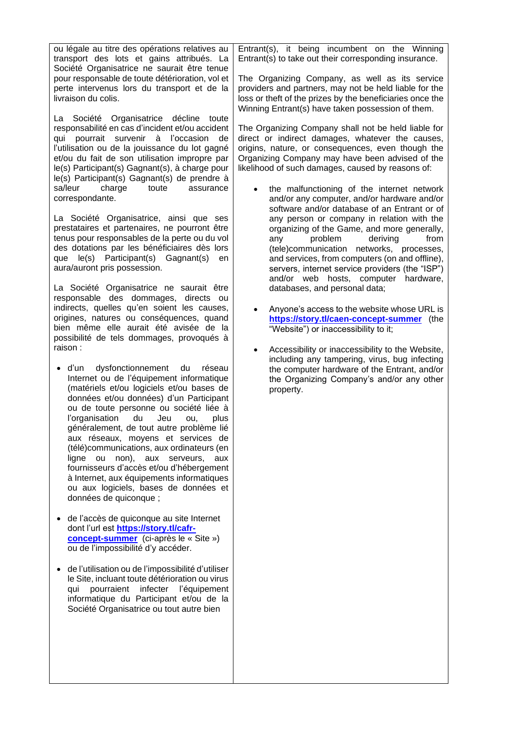ou légale au titre des opérations relatives au transport des lots et gains attribués. La Société Organisatrice ne saurait être tenue pour responsable de toute détérioration, vol et perte intervenus lors du transport et de la livraison du colis.

La Société Organisatrice décline toute responsabilité en cas d'incident et/ou accident qui pourrait survenir à l'occasion de l'utilisation ou de la jouissance du lot gagné et/ou du fait de son utilisation impropre par le(s) Participant(s) Gagnant(s), à charge pour le(s) Participant(s) Gagnant(s) de prendre à sa/leur charge toute assurance correspondante.

La Société Organisatrice, ainsi que ses prestataires et partenaires, ne pourront être tenus pour responsables de la perte ou du vol des dotations par les bénéficiaires dès lors que le(s) Participant(s) Gagnant(s) en aura/auront pris possession.

La Société Organisatrice ne saurait être responsable des dommages, directs ou indirects, quelles qu'en soient les causes, origines, natures ou conséquences, quand bien même elle aurait été avisée de la possibilité de tels dommages, provoqués à raison :

- d'un dysfonctionnement du réseau Internet ou de l'équipement informatique (matériels et/ou logiciels et/ou bases de données et/ou données) d'un Participant ou de toute personne ou société liée à l'organisation du Jeu ou, plus généralement, de tout autre problème lié aux réseaux, moyens et services de (télé)communications, aux ordinateurs (en ligne ou non), aux serveurs, aux fournisseurs d'accès et/ou d'hébergement à Internet, aux équipements informatiques ou aux logiciels, bases de données et données de quiconque ;
- de l'accès de quiconque au site Internet dont l'url est **[https://story.tl/cafr](https://story.tl/cafr-concept-summer)[concept-summer](https://story.tl/cafr-concept-summer)** (ci-après le « Site ») ou de l'impossibilité d'y accéder.
- de l'utilisation ou de l'impossibilité d'utiliser le Site, incluant toute détérioration ou virus qui pourraient infecter l'équipement informatique du Participant et/ou de la Société Organisatrice ou tout autre bien

Entrant(s), it being incumbent on the Winning Entrant(s) to take out their corresponding insurance.

The Organizing Company, as well as its service providers and partners, may not be held liable for the loss or theft of the prizes by the beneficiaries once the Winning Entrant(s) have taken possession of them.

The Organizing Company shall not be held liable for direct or indirect damages, whatever the causes, origins, nature, or consequences, even though the Organizing Company may have been advised of the likelihood of such damages, caused by reasons of:

- the malfunctioning of the internet network and/or any computer, and/or hardware and/or software and/or database of an Entrant or of any person or company in relation with the organizing of the Game, and more generally, any problem deriving from (tele)communication networks, processes, and services, from computers (on and offline), servers, internet service providers (the "ISP") and/or web hosts, computer hardware, databases, and personal data;
- Anyone's access to the website whose URL is **<https://story.tl/caen-concept-summer>** (the "Website") or inaccessibility to it;
- Accessibility or inaccessibility to the Website, including any tampering, virus, bug infecting the computer hardware of the Entrant, and/or the Organizing Company's and/or any other property.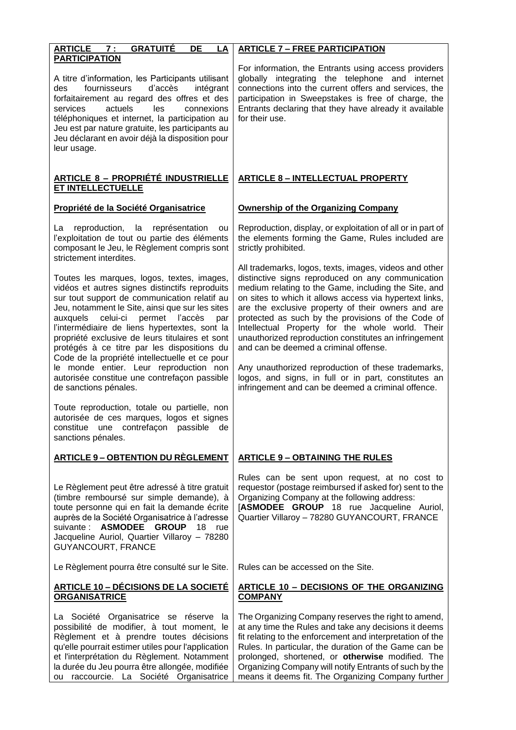| <b>ARTICLE</b><br><b>GRATUITÉ</b><br>DE<br>7:<br>LA                                                                                                                                                                                                                                                                                                                                                                                                | <b>ARTICLE 7 - FREE PARTICIPATION</b>                                                                                                                                                                                                                                                                                                                                                                                                                                                            |
|----------------------------------------------------------------------------------------------------------------------------------------------------------------------------------------------------------------------------------------------------------------------------------------------------------------------------------------------------------------------------------------------------------------------------------------------------|--------------------------------------------------------------------------------------------------------------------------------------------------------------------------------------------------------------------------------------------------------------------------------------------------------------------------------------------------------------------------------------------------------------------------------------------------------------------------------------------------|
| <b>PARTICIPATION</b><br>A titre d'information, les Participants utilisant<br>fournisseurs<br>d'accès<br>intégrant<br>des<br>forfaitairement au regard des offres et des<br>actuels<br>les<br>connexions<br>services<br>téléphoniques et internet, la participation au<br>Jeu est par nature gratuite, les participants au<br>Jeu déclarant en avoir déjà la disposition pour<br>leur usage.                                                        | For information, the Entrants using access providers<br>globally integrating the telephone and internet<br>connections into the current offers and services, the<br>participation in Sweepstakes is free of charge, the<br>Entrants declaring that they have already it available<br>for their use.                                                                                                                                                                                              |
| ARTICLE 8 – PROPRIÉTÉ INDUSTRIELLE<br><b>ET INTELLECTUELLE</b>                                                                                                                                                                                                                                                                                                                                                                                     | <b>ARTICLE 8 - INTELLECTUAL PROPERTY</b>                                                                                                                                                                                                                                                                                                                                                                                                                                                         |
| Propriété de la Société Organisatrice                                                                                                                                                                                                                                                                                                                                                                                                              | <b>Ownership of the Organizing Company</b>                                                                                                                                                                                                                                                                                                                                                                                                                                                       |
| reproduction,<br>la<br>représentation<br>La<br>ou<br>l'exploitation de tout ou partie des éléments<br>composant le Jeu, le Règlement compris sont<br>strictement interdites.                                                                                                                                                                                                                                                                       | Reproduction, display, or exploitation of all or in part of<br>the elements forming the Game, Rules included are<br>strictly prohibited.                                                                                                                                                                                                                                                                                                                                                         |
| Toutes les marques, logos, textes, images,<br>vidéos et autres signes distinctifs reproduits<br>sur tout support de communication relatif au<br>Jeu, notamment le Site, ainsi que sur les sites<br>auxquels celui-ci<br>permet l'accès<br>par<br>l'intermédiaire de liens hypertextes, sont la<br>propriété exclusive de leurs titulaires et sont<br>protégés à ce titre par les dispositions du<br>Code de la propriété intellectuelle et ce pour | All trademarks, logos, texts, images, videos and other<br>distinctive signs reproduced on any communication<br>medium relating to the Game, including the Site, and<br>on sites to which it allows access via hypertext links,<br>are the exclusive property of their owners and are<br>protected as such by the provisions of the Code of<br>Intellectual Property for the whole world. Their<br>unauthorized reproduction constitutes an infringement<br>and can be deemed a criminal offense. |
| le monde entier. Leur reproduction non<br>autorisée constitue une contrefaçon passible<br>de sanctions pénales.                                                                                                                                                                                                                                                                                                                                    | Any unauthorized reproduction of these trademarks,<br>logos, and signs, in full or in part, constitutes an<br>infringement and can be deemed a criminal offence.                                                                                                                                                                                                                                                                                                                                 |
| Toute reproduction, totale ou partielle, non<br>autorisée de ces marques, logos et signes<br>constitue une contrefaçon passible de<br>sanctions pénales.                                                                                                                                                                                                                                                                                           |                                                                                                                                                                                                                                                                                                                                                                                                                                                                                                  |
| <b>ARTICLE 9 - OBTENTION DU RÈGLEMENT</b>                                                                                                                                                                                                                                                                                                                                                                                                          | <b>ARTICLE 9 - OBTAINING THE RULES</b>                                                                                                                                                                                                                                                                                                                                                                                                                                                           |
| Le Règlement peut être adressé à titre gratuit<br>(timbre remboursé sur simple demande), à<br>toute personne qui en fait la demande écrite<br>auprès de la Société Organisatrice à l'adresse<br>suivante: ASMODEE GROUP 18 rue<br>Jacqueline Auriol, Quartier Villaroy - 78280<br><b>GUYANCOURT, FRANCE</b>                                                                                                                                        | Rules can be sent upon request, at no cost to<br>requestor (postage reimbursed if asked for) sent to the<br>Organizing Company at the following address:<br>[ASMODEE GROUP 18 rue Jacqueline Auriol,<br>Quartier Villaroy - 78280 GUYANCOURT, FRANCE                                                                                                                                                                                                                                             |
| Le Règlement pourra être consulté sur le Site.                                                                                                                                                                                                                                                                                                                                                                                                     | Rules can be accessed on the Site.                                                                                                                                                                                                                                                                                                                                                                                                                                                               |
| <u> ARTICLE 10 – DÉCISIONS DE LA SOCIETÉ</u><br><b>ORGANISATRICE</b>                                                                                                                                                                                                                                                                                                                                                                               | <b>ARTICLE 10 - DECISIONS OF THE ORGANIZING</b><br><b>COMPANY</b>                                                                                                                                                                                                                                                                                                                                                                                                                                |
| La Société Organisatrice se réserve la<br>possibilité de modifier, à tout moment, le<br>Règlement et à prendre toutes décisions<br>qu'elle pourrait estimer utiles pour l'application<br>et l'interprétation du Règlement. Notamment<br>la durée du Jeu pourra être allongée, modifiée<br>ou raccourcie. La Société Organisatrice                                                                                                                  | The Organizing Company reserves the right to amend,<br>at any time the Rules and take any decisions it deems<br>fit relating to the enforcement and interpretation of the<br>Rules. In particular, the duration of the Game can be<br>prolonged, shortened, or otherwise modified. The<br>Organizing Company will notify Entrants of such by the<br>means it deems fit. The Organizing Company further                                                                                           |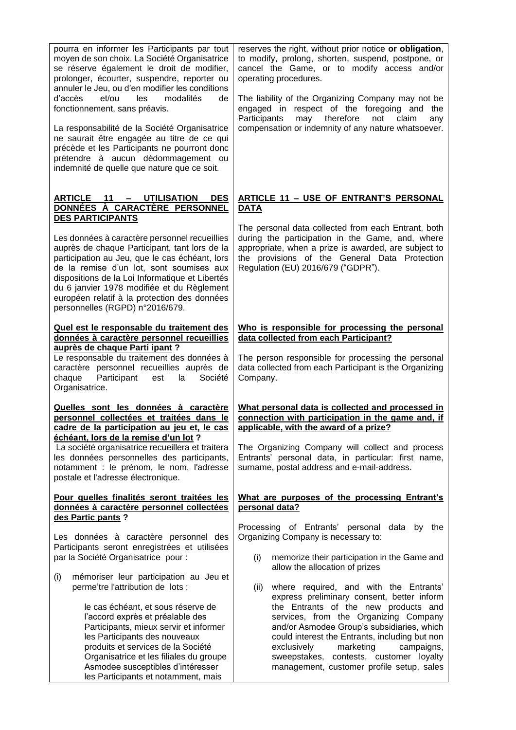| pourra en informer les Participants par tout<br>moyen de son choix. La Société Organisatrice<br>se réserve également le droit de modifier,<br>prolonger, écourter, suspendre, reporter ou<br>annuler le Jeu, ou d'en modifier les conditions<br>et/ou<br>les<br>modalités<br>d'accès<br>de<br>fonctionnement, sans préavis.<br>La responsabilité de la Société Organisatrice<br>ne saurait être engagée au titre de ce qui<br>précède et les Participants ne pourront donc<br>prétendre à aucun dédommagement ou<br>indemnité de quelle que nature que ce soit. | reserves the right, without prior notice or obligation,<br>to modify, prolong, shorten, suspend, postpone, or<br>cancel the Game, or to modify access and/or<br>operating procedures.<br>The liability of the Organizing Company may not be<br>engaged in respect of the foregoing and<br>the<br>Participants<br>may<br>therefore<br>not<br>claim<br>any<br>compensation or indemnity of any nature whatsoever. |
|-----------------------------------------------------------------------------------------------------------------------------------------------------------------------------------------------------------------------------------------------------------------------------------------------------------------------------------------------------------------------------------------------------------------------------------------------------------------------------------------------------------------------------------------------------------------|-----------------------------------------------------------------------------------------------------------------------------------------------------------------------------------------------------------------------------------------------------------------------------------------------------------------------------------------------------------------------------------------------------------------|
| <b>ARTICLE</b><br>$11 -$<br><b>DES</b><br><b>UTILISATION</b>                                                                                                                                                                                                                                                                                                                                                                                                                                                                                                    | <b>ARTICLE 11 - USE OF ENTRANT'S PERSONAL</b>                                                                                                                                                                                                                                                                                                                                                                   |
| DONNÉES À CARACTÈRE PERSONNEL<br><b>DES PARTICIPANTS</b>                                                                                                                                                                                                                                                                                                                                                                                                                                                                                                        | <b>DATA</b>                                                                                                                                                                                                                                                                                                                                                                                                     |
| Les données à caractère personnel recueillies<br>auprès de chaque Participant, tant lors de la<br>participation au Jeu, que le cas échéant, lors<br>de la remise d'un lot, sont soumises aux<br>dispositions de la Loi Informatique et Libertés<br>du 6 janvier 1978 modifiée et du Règlement<br>européen relatif à la protection des données<br>personnelles (RGPD) n°2016/679.                                                                                                                                                                                | The personal data collected from each Entrant, both<br>during the participation in the Game, and, where<br>appropriate, when a prize is awarded, are subject to<br>the provisions of the General Data Protection<br>Regulation (EU) 2016/679 ("GDPR").                                                                                                                                                          |
| Quel est le responsable du traitement des<br>données à caractère personnel recueillies                                                                                                                                                                                                                                                                                                                                                                                                                                                                          | Who is responsible for processing the personal<br>data collected from each Participant?                                                                                                                                                                                                                                                                                                                         |
| auprès de chaque Parti ipant ?<br>Le responsable du traitement des données à<br>caractère personnel recueillies auprès de<br>Participant<br>chaque<br>est<br>Société<br>la<br>Organisatrice.                                                                                                                                                                                                                                                                                                                                                                    | The person responsible for processing the personal<br>data collected from each Participant is the Organizing<br>Company.                                                                                                                                                                                                                                                                                        |
| Quelles sont les données à caractère<br>personnel collectées et traitées dans le<br>cadre de la participation au jeu et, le cas                                                                                                                                                                                                                                                                                                                                                                                                                                 | What personal data is collected and processed in<br>connection with participation in the game and, if<br>applicable, with the award of a prize?                                                                                                                                                                                                                                                                 |
| échéant, lors de la remise d'un lot ?<br>La société organisatrice recueillera et traitera<br>les données personnelles des participants,<br>notamment : le prénom, le nom, l'adresse<br>postale et l'adresse électronique.                                                                                                                                                                                                                                                                                                                                       | The Organizing Company will collect and process<br>Entrants' personal data, in particular: first name,<br>surname, postal address and e-mail-address.                                                                                                                                                                                                                                                           |
| Pour quelles finalités seront traitées les<br>données à caractère personnel collectées                                                                                                                                                                                                                                                                                                                                                                                                                                                                          | What are purposes of the processing Entrant's<br>personal data?                                                                                                                                                                                                                                                                                                                                                 |
| des Partic pants ?<br>Les données à caractère personnel des<br>Participants seront enregistrées et utilisées                                                                                                                                                                                                                                                                                                                                                                                                                                                    | Processing of Entrants' personal data by the<br>Organizing Company is necessary to:                                                                                                                                                                                                                                                                                                                             |
| par la Société Organisatrice pour :                                                                                                                                                                                                                                                                                                                                                                                                                                                                                                                             | (i)<br>memorize their participation in the Game and<br>allow the allocation of prizes                                                                                                                                                                                                                                                                                                                           |
| mémoriser leur participation au Jeu et<br>(i)<br>perme'tre l'attribution de lots ;<br>le cas échéant, et sous réserve de<br>l'accord exprès et préalable des<br>Participants, mieux servir et informer<br>les Participants des nouveaux<br>produits et services de la Société<br>Organisatrice et les filiales du groupe<br>Asmodee susceptibles d'intéresser<br>les Participants et notamment, mais                                                                                                                                                            | (ii)<br>where required, and with the Entrants'<br>express preliminary consent, better inform<br>the Entrants of the new products and<br>services, from the Organizing Company<br>and/or Asmodee Group's subsidiaries, which<br>could interest the Entrants, including but non<br>marketing<br>exclusively<br>campaigns,<br>sweepstakes, contests, customer loyalty<br>management, customer profile setup, sales |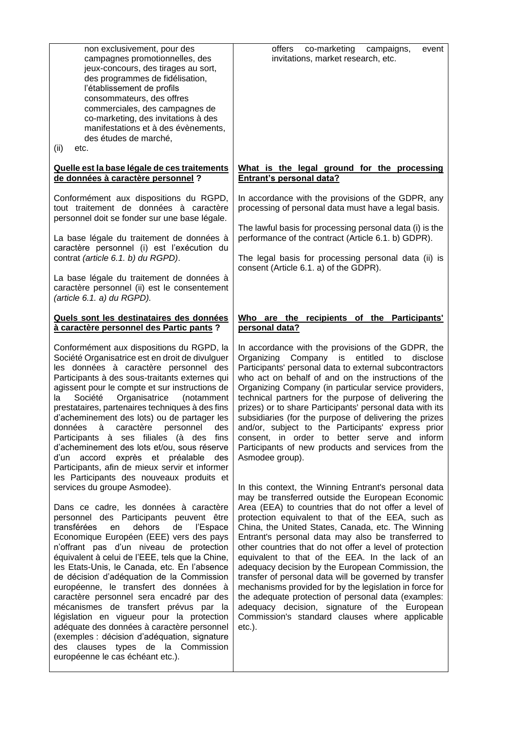| non exclusivement, pour des<br>campagnes promotionnelles, des<br>jeux-concours, des tirages au sort,<br>des programmes de fidélisation,<br>l'établissement de profils<br>consommateurs, des offres<br>commerciales, des campagnes de<br>co-marketing, des invitations à des<br>manifestations et à des évènements,<br>des études de marché,<br>(ii)<br>etc.                                                                                                                                                                                                                                                                                                                                                                                                                                                                                                                                                                                                                        | offers<br>co-marketing campaigns,<br>event<br>invitations, market research, etc.                                                                                                                                                                                                                                                                                                                                                                                                                                                                                                                                                                                                                                                                                                                                                                                                                                                                                                                                                                                                                 |
|------------------------------------------------------------------------------------------------------------------------------------------------------------------------------------------------------------------------------------------------------------------------------------------------------------------------------------------------------------------------------------------------------------------------------------------------------------------------------------------------------------------------------------------------------------------------------------------------------------------------------------------------------------------------------------------------------------------------------------------------------------------------------------------------------------------------------------------------------------------------------------------------------------------------------------------------------------------------------------|--------------------------------------------------------------------------------------------------------------------------------------------------------------------------------------------------------------------------------------------------------------------------------------------------------------------------------------------------------------------------------------------------------------------------------------------------------------------------------------------------------------------------------------------------------------------------------------------------------------------------------------------------------------------------------------------------------------------------------------------------------------------------------------------------------------------------------------------------------------------------------------------------------------------------------------------------------------------------------------------------------------------------------------------------------------------------------------------------|
| Quelle est la base légale de ces traitements<br>de données à caractère personnel ?                                                                                                                                                                                                                                                                                                                                                                                                                                                                                                                                                                                                                                                                                                                                                                                                                                                                                                 | What is the legal ground for the processing<br>Entrant's personal data?                                                                                                                                                                                                                                                                                                                                                                                                                                                                                                                                                                                                                                                                                                                                                                                                                                                                                                                                                                                                                          |
| Conformément aux dispositions du RGPD,<br>tout traitement de données à caractère<br>personnel doit se fonder sur une base légale.                                                                                                                                                                                                                                                                                                                                                                                                                                                                                                                                                                                                                                                                                                                                                                                                                                                  | In accordance with the provisions of the GDPR, any<br>processing of personal data must have a legal basis.                                                                                                                                                                                                                                                                                                                                                                                                                                                                                                                                                                                                                                                                                                                                                                                                                                                                                                                                                                                       |
| La base légale du traitement de données à<br>caractère personnel (i) est l'exécution du                                                                                                                                                                                                                                                                                                                                                                                                                                                                                                                                                                                                                                                                                                                                                                                                                                                                                            | The lawful basis for processing personal data (i) is the<br>performance of the contract (Article 6.1. b) GDPR).                                                                                                                                                                                                                                                                                                                                                                                                                                                                                                                                                                                                                                                                                                                                                                                                                                                                                                                                                                                  |
| contrat (article 6.1. b) du RGPD).<br>La base légale du traitement de données à                                                                                                                                                                                                                                                                                                                                                                                                                                                                                                                                                                                                                                                                                                                                                                                                                                                                                                    | The legal basis for processing personal data (ii) is<br>consent (Article 6.1. a) of the GDPR).                                                                                                                                                                                                                                                                                                                                                                                                                                                                                                                                                                                                                                                                                                                                                                                                                                                                                                                                                                                                   |
| caractère personnel (ii) est le consentement<br>(article 6.1. a) du RGPD).                                                                                                                                                                                                                                                                                                                                                                                                                                                                                                                                                                                                                                                                                                                                                                                                                                                                                                         |                                                                                                                                                                                                                                                                                                                                                                                                                                                                                                                                                                                                                                                                                                                                                                                                                                                                                                                                                                                                                                                                                                  |
| Quels sont les destinataires des données<br>à caractère personnel des Partic pants ?                                                                                                                                                                                                                                                                                                                                                                                                                                                                                                                                                                                                                                                                                                                                                                                                                                                                                               | Who are the recipients of the Participants'<br>personal data?                                                                                                                                                                                                                                                                                                                                                                                                                                                                                                                                                                                                                                                                                                                                                                                                                                                                                                                                                                                                                                    |
| Conformément aux dispositions du RGPD, la<br>Société Organisatrice est en droit de divulguer<br>les données à caractère personnel des<br>Participants à des sous-traitants externes qui<br>agissent pour le compte et sur instructions de<br>Société<br>Organisatrice<br>(notamment<br>la<br>prestataires, partenaires techniques à des fins<br>d'acheminement des lots) ou de partager les<br>données à caractère personnel des<br>Participants à ses filiales (à des fins<br>d'acheminement des lots et/ou, sous réserve<br>d'un accord exprès et préalable<br>des<br>Participants, afin de mieux servir et informer<br>les Participants des nouveaux produits et<br>services du groupe Asmodee).<br>Dans ce cadre, les données à caractère<br>personnel des Participants peuvent être<br>transférées<br>dehors<br>l'Espace<br>en<br>de<br>Economique Européen (EEE) vers des pays<br>n'offrant pas d'un niveau de protection<br>équivalent à celui de l'EEE, tels que la Chine, | In accordance with the provisions of the GDPR, the<br>Organizing Company is entitled<br>to<br>disclose<br>Participants' personal data to external subcontractors<br>who act on behalf of and on the instructions of the<br>Organizing Company (in particular service providers,<br>technical partners for the purpose of delivering the<br>prizes) or to share Participants' personal data with its<br>subsidiaries (for the purpose of delivering the prizes<br>and/or, subject to the Participants' express prior<br>consent, in order to better serve and inform<br>Participants of new products and services from the<br>Asmodee group).<br>In this context, the Winning Entrant's personal data<br>may be transferred outside the European Economic<br>Area (EEA) to countries that do not offer a level of<br>protection equivalent to that of the EEA, such as<br>China, the United States, Canada, etc. The Winning<br>Entrant's personal data may also be transferred to<br>other countries that do not offer a level of protection<br>equivalent to that of the EEA. In the lack of an |
| les Etats-Unis, le Canada, etc. En l'absence<br>de décision d'adéquation de la Commission<br>européenne, le transfert des données à<br>caractère personnel sera encadré par des<br>mécanismes de transfert prévus par la<br>législation en vigueur pour la protection<br>adéquate des données à caractère personnel<br>(exemples : décision d'adéquation, signature<br>des clauses types de la Commission<br>européenne le cas échéant etc.).                                                                                                                                                                                                                                                                                                                                                                                                                                                                                                                                      | adequacy decision by the European Commission, the<br>transfer of personal data will be governed by transfer<br>mechanisms provided for by the legislation in force for<br>the adequate protection of personal data (examples:<br>adequacy decision, signature of the European<br>Commission's standard clauses where applicable<br>$etc.$ ).                                                                                                                                                                                                                                                                                                                                                                                                                                                                                                                                                                                                                                                                                                                                                     |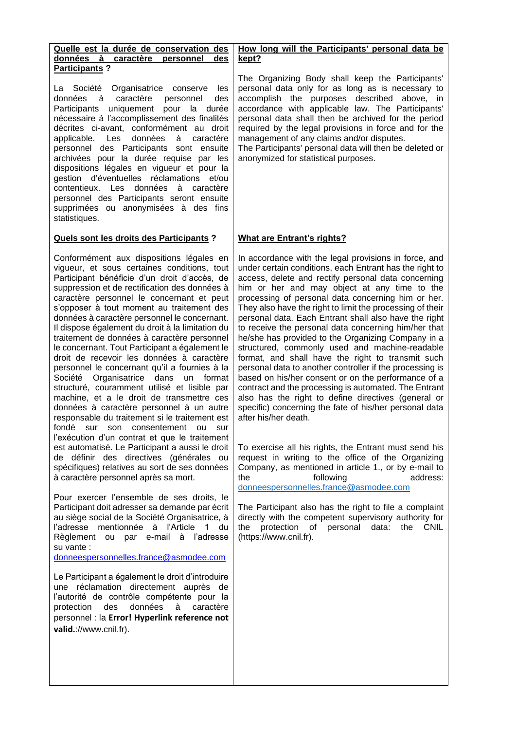|                                         | Quelle est la durée de conservation des   How long will the Participants' personal data be |
|-----------------------------------------|--------------------------------------------------------------------------------------------|
| données à caractère personnel des kept? |                                                                                            |
| <b>Participants?</b>                    |                                                                                            |

La Société Organisatrice conserve les données à caractère personnel des Participants uniquement pour la durée nécessaire à l'accomplissement des finalités décrites ci-avant, conformément au droit applicable. Les données à caractère personnel des Participants sont ensuite archivées pour la durée requise par les dispositions légales en vigueur et pour la gestion d'éventuelles réclamations et/ou contentieux. Les données à caractère personnel des Participants seront ensuite supprimées ou anonymisées à des fins statistiques.

### **Quels sont les droits des Participants ?**

Conformément aux dispositions légales en vigueur, et sous certaines conditions, tout Participant bénéficie d'un droit d'accès, de suppression et de rectification des données à caractère personnel le concernant et peut s'opposer à tout moment au traitement des données à caractère personnel le concernant. Il dispose également du droit à la limitation du traitement de données à caractère personnel le concernant. Tout Participant a également le droit de recevoir les données à caractère personnel le concernant qu'il a fournies à la Société Organisatrice dans un format structuré, couramment utilisé et lisible par machine, et a le droit de transmettre ces données à caractère personnel à un autre responsable du traitement si le traitement est fondé sur son consentement ou sur l'exécution d'un contrat et que le traitement est automatisé. Le Participant a aussi le droit de définir des directives (générales ou spécifiques) relatives au sort de ses données à caractère personnel après sa mort.

Pour exercer l'ensemble de ses droits, le Participant doit adresser sa demande par écrit au siège social de la Société Organisatrice, à l'adresse mentionnée à l'Article 1 du Règlement ou par e-mail à l'adresse su vante :

[donneespersonnelles.france@asmodee.com](mailto:donneespersonnelles.france@asmodee.com)

Le Participant a également le droit d'introduire une réclamation directement auprès de l'autorité de contrôle compétente pour la protection des données à caractère personnel : la **Error! Hyperlink reference not valid.**://www.cnil.fr).

The Organizing Body shall keep the Participants' personal data only for as long as is necessary to accomplish the purposes described above, in accordance with applicable law. The Participants' personal data shall then be archived for the period required by the legal provisions in force and for the management of any claims and/or disputes.

The Participants' personal data will then be deleted or anonymized for statistical purposes.

#### **What are Entrant's rights?**

In accordance with the legal provisions in force, and under certain conditions, each Entrant has the right to access, delete and rectify personal data concerning him or her and may object at any time to the processing of personal data concerning him or her. They also have the right to limit the processing of their personal data. Each Entrant shall also have the right to receive the personal data concerning him/her that he/she has provided to the Organizing Company in a structured, commonly used and machine-readable format, and shall have the right to transmit such personal data to another controller if the processing is based on his/her consent or on the performance of a contract and the processing is automated. The Entrant also has the right to define directives (general or specific) concerning the fate of his/her personal data after his/her death.

To exercise all his rights, the Entrant must send his request in writing to the office of the Organizing Company, as mentioned in article 1., or by e-mail to the following address: [donneespersonnelles.france@asmodee.com](mailto:donneespersonnelles.france@asmodee.com)

The Participant also has the right to file a complaint directly with the competent supervisory authority for the protection of personal data: the CNIL (https://www.cnil.fr).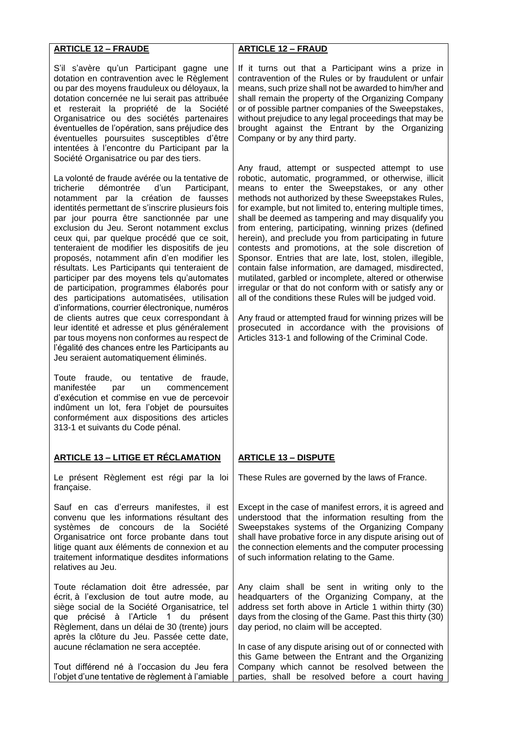# **ARTICLE 12 – FRAUDE**

S'il s'avère qu'un Participant gagne une dotation en contravention avec le Règlement ou par des moyens frauduleux ou déloyaux, la dotation concernée ne lui serait pas attribuée et resterait la propriété de la Société Organisatrice ou des sociétés partenaires éventuelles de l'opération, sans préjudice des éventuelles poursuites susceptibles d'être intentées à l'encontre du Participant par la Société Organisatrice ou par des tiers.

La volonté de fraude avérée ou la tentative de tricherie démontrée d'un Participant, notamment par la création de fausses identités permettant de s'inscrire plusieurs fois par jour pourra être sanctionnée par une exclusion du Jeu. Seront notamment exclus ceux qui, par quelque procédé que ce soit, tenteraient de modifier les dispositifs de jeu proposés, notamment afin d'en modifier les résultats. Les Participants qui tenteraient de participer par des moyens tels qu'automates de participation, programmes élaborés pour des participations automatisées, utilisation d'informations, courrier électronique, numéros de clients autres que ceux correspondant à leur identité et adresse et plus généralement par tous moyens non conformes au respect de l'égalité des chances entre les Participants au Jeu seraient automatiquement éliminés.

Toute fraude, ou tentative de fraude,<br>manifestée par un commencement manifestée par un commencement d'exécution et commise en vue de percevoir indûment un lot, fera l'objet de poursuites conformément aux dispositions des articles 313-1 et suivants du Code pénal.

# **ARTICLE 13 – LITIGE ET RÉCLAMATION**

Le présent Règlement est régi par la loi française.

Sauf en cas d'erreurs manifestes, il est convenu que les informations résultant des systèmes de concours de la Société Organisatrice ont force probante dans tout litige quant aux éléments de connexion et au traitement informatique desdites informations relatives au Jeu.

Toute réclamation doit être adressée, par écrit, à l'exclusion de tout autre mode, au siège social de la Société Organisatrice, tel que précisé à l'Article 1 du présent Règlement, dans un délai de 30 (trente) jours après la clôture du Jeu. Passée cette date, aucune réclamation ne sera acceptée.

Tout différend né à l'occasion du Jeu fera l'objet d'une tentative de règlement à l'amiable

# **ARTICLE 12 – FRAUD**

If it turns out that a Participant wins a prize in contravention of the Rules or by fraudulent or unfair means, such prize shall not be awarded to him/her and shall remain the property of the Organizing Company or of possible partner companies of the Sweepstakes, without prejudice to any legal proceedings that may be brought against the Entrant by the Organizing Company or by any third party.

Any fraud, attempt or suspected attempt to use robotic, automatic, programmed, or otherwise, illicit means to enter the Sweepstakes, or any other methods not authorized by these Sweepstakes Rules, for example, but not limited to, entering multiple times, shall be deemed as tampering and may disqualify you from entering, participating, winning prizes (defined herein), and preclude you from participating in future contests and promotions, at the sole discretion of Sponsor. Entries that are late, lost, stolen, illegible, contain false information, are damaged, misdirected, mutilated, garbled or incomplete, altered or otherwise irregular or that do not conform with or satisfy any or all of the conditions these Rules will be judged void.

Any fraud or attempted fraud for winning prizes will be prosecuted in accordance with the provisions of Articles 313-1 and following of the Criminal Code.

# **ARTICLE 13 – DISPUTE**

These Rules are governed by the laws of France.

Except in the case of manifest errors, it is agreed and understood that the information resulting from the Sweepstakes systems of the Organizing Company shall have probative force in any dispute arising out of the connection elements and the computer processing of such information relating to the Game.

Any claim shall be sent in writing only to the headquarters of the Organizing Company, at the address set forth above in Article 1 within thirty (30) days from the closing of the Game. Past this thirty (30) day period, no claim will be accepted.

In case of any dispute arising out of or connected with this Game between the Entrant and the Organizing Company which cannot be resolved between the parties, shall be resolved before a court having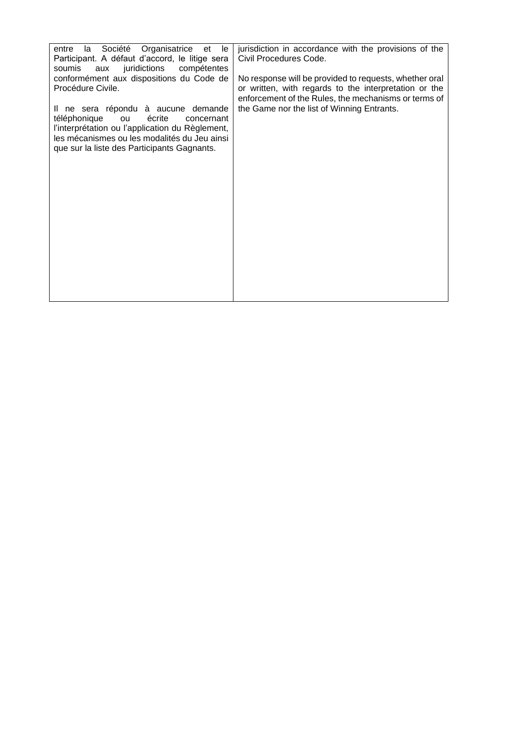| jurisdiction in accordance with the provisions of the<br>Civil Procedures Code.                                                                                                                                       |
|-----------------------------------------------------------------------------------------------------------------------------------------------------------------------------------------------------------------------|
| No response will be provided to requests, whether oral<br>or written, with regards to the interpretation or the<br>enforcement of the Rules, the mechanisms or terms of<br>the Game nor the list of Winning Entrants. |
|                                                                                                                                                                                                                       |
|                                                                                                                                                                                                                       |
|                                                                                                                                                                                                                       |
|                                                                                                                                                                                                                       |
|                                                                                                                                                                                                                       |
|                                                                                                                                                                                                                       |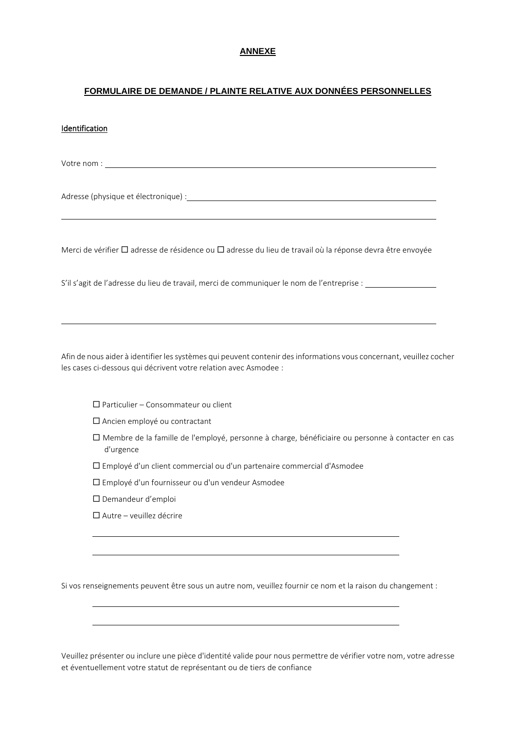### **ANNEXE**

# **FORMULAIRE DE DEMANDE / PLAINTE RELATIVE AUX DONNÉES PERSONNELLES**

#### **Identification**

Votre nom :

Adresse (physique et électronique) :

Merci de vérifier  $\Box$  adresse de résidence ou  $\Box$  adresse du lieu de travail où la réponse devra être envoyée

S'il s'agit de l'adresse du lieu de travail, merci de communiquer le nom de l'entreprise :

Afin de nous aider à identifier les systèmes qui peuvent contenir des informations vous concernant, veuillez cocher les cases ci-dessous qui décrivent votre relation avec Asmodee :

- $\square$  Particulier Consommateur ou client
- Ancien employé ou contractant
- Membre de la famille de l'employé, personne à charge, bénéficiaire ou personne à contacter en cas d'urgence
- Employé d'un client commercial ou d'un partenaire commercial d'Asmodee
- Employé d'un fournisseur ou d'un vendeur Asmodee
- Demandeur d'emploi
- $\square$  Autre veuillez décrire

Si vos renseignements peuvent être sous un autre nom, veuillez fournir ce nom et la raison du changement :

Veuillez présenter ou inclure une pièce d'identité valide pour nous permettre de vérifier votre nom, votre adresse et éventuellement votre statut de représentant ou de tiers de confiance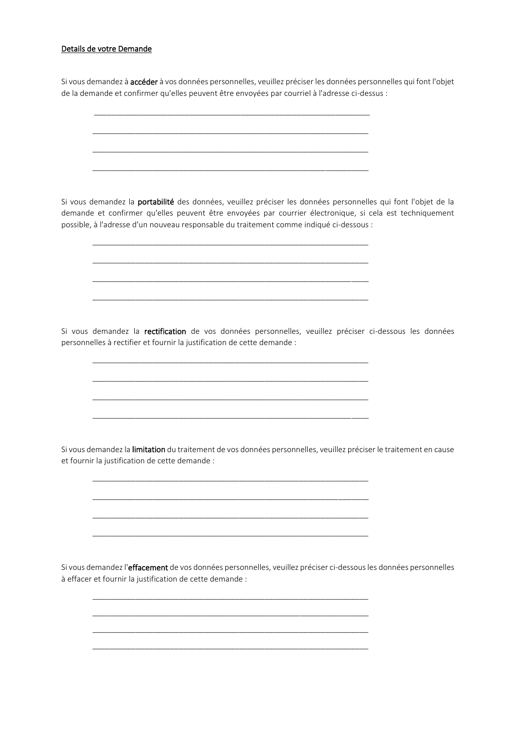#### Details de votre Demande

Si vous demandez à accéder à vos données personnelles, veuillez préciser les données personnelles qui font l'objet de la demande et confirmer qu'elles peuvent être envoyées par courriel à l'adresse ci-dessus :

\_\_\_\_\_\_\_\_\_\_\_\_\_\_\_\_\_\_\_\_\_\_\_\_\_\_\_\_\_\_\_\_\_\_\_\_\_\_\_\_\_\_\_\_\_\_\_\_\_\_\_\_\_\_\_\_\_\_\_\_\_\_\_\_

\_\_\_\_\_\_\_\_\_\_\_\_\_\_\_\_\_\_\_\_\_\_\_\_\_\_\_\_\_\_\_\_\_\_\_\_\_\_\_\_\_\_\_\_\_\_\_\_\_\_\_\_\_\_\_\_\_\_\_\_\_\_\_\_

\_\_\_\_\_\_\_\_\_\_\_\_\_\_\_\_\_\_\_\_\_\_\_\_\_\_\_\_\_\_\_\_\_\_\_\_\_\_\_\_\_\_\_\_\_\_\_\_\_\_\_\_\_\_\_\_\_\_\_\_\_\_\_\_

\_\_\_\_\_\_\_\_\_\_\_\_\_\_\_\_\_\_\_\_\_\_\_\_\_\_\_\_\_\_\_\_\_\_\_\_\_\_\_\_\_\_\_\_\_\_\_\_\_\_\_\_\_\_\_\_\_\_\_\_\_\_\_\_

\_\_\_\_\_\_\_\_\_\_\_\_\_\_\_\_\_\_\_\_\_\_\_\_\_\_\_\_\_\_\_\_\_\_\_\_\_\_\_\_\_\_\_\_\_\_\_\_\_\_\_\_\_\_\_\_\_\_\_\_\_\_\_\_

\_\_\_\_\_\_\_\_\_\_\_\_\_\_\_\_\_\_\_\_\_\_\_\_\_\_\_\_\_\_\_\_\_\_\_\_\_\_\_\_\_\_\_\_\_\_\_\_\_\_\_\_\_\_\_\_\_\_\_\_\_\_\_\_

\_\_\_\_\_\_\_\_\_\_\_\_\_\_\_\_\_\_\_\_\_\_\_\_\_\_\_\_\_\_\_\_\_\_\_\_\_\_\_\_\_\_\_\_\_\_\_\_\_\_\_\_\_\_\_\_\_\_\_\_\_\_\_\_

\_\_\_\_\_\_\_\_\_\_\_\_\_\_\_\_\_\_\_\_\_\_\_\_\_\_\_\_\_\_\_\_\_\_\_\_\_\_\_\_\_\_\_\_\_\_\_\_\_\_\_\_\_\_\_\_\_\_\_\_\_\_\_\_

\_\_\_\_\_\_\_\_\_\_\_\_\_\_\_\_\_\_\_\_\_\_\_\_\_\_\_\_\_\_\_\_\_\_\_\_\_\_\_\_\_\_\_\_\_\_\_\_\_\_\_\_\_\_\_\_\_\_\_\_\_\_\_\_

\_\_\_\_\_\_\_\_\_\_\_\_\_\_\_\_\_\_\_\_\_\_\_\_\_\_\_\_\_\_\_\_\_\_\_\_\_\_\_\_\_\_\_\_\_\_\_\_\_\_\_\_\_\_\_\_\_\_\_\_\_\_\_\_

\_\_\_\_\_\_\_\_\_\_\_\_\_\_\_\_\_\_\_\_\_\_\_\_\_\_\_\_\_\_\_\_\_\_\_\_\_\_\_\_\_\_\_\_\_\_\_\_\_\_\_\_\_\_\_\_\_\_\_\_\_\_\_\_

\_\_\_\_\_\_\_\_\_\_\_\_\_\_\_\_\_\_\_\_\_\_\_\_\_\_\_\_\_\_\_\_\_\_\_\_\_\_\_\_\_\_\_\_\_\_\_\_\_\_\_\_\_\_\_\_\_\_\_\_\_\_\_\_

\_\_\_\_\_\_\_\_\_\_\_\_\_\_\_\_\_\_\_\_\_\_\_\_\_\_\_\_\_\_\_\_\_\_\_\_\_\_\_\_\_\_\_\_\_\_\_\_\_\_\_\_\_\_\_\_\_\_\_\_\_\_\_\_

\_\_\_\_\_\_\_\_\_\_\_\_\_\_\_\_\_\_\_\_\_\_\_\_\_\_\_\_\_\_\_\_\_\_\_\_\_\_\_\_\_\_\_\_\_\_\_\_\_\_\_\_\_\_\_\_\_\_\_\_\_\_\_\_

\_\_\_\_\_\_\_\_\_\_\_\_\_\_\_\_\_\_\_\_\_\_\_\_\_\_\_\_\_\_\_\_\_\_\_\_\_\_\_\_\_\_\_\_\_\_\_\_\_\_\_\_\_\_\_\_\_\_\_\_\_\_\_\_

\_\_\_\_\_\_\_\_\_\_\_\_\_\_\_\_\_\_\_\_\_\_\_\_\_\_\_\_\_\_\_\_\_\_\_\_\_\_\_\_\_\_\_\_\_\_\_\_\_\_\_\_\_\_\_\_\_\_\_\_\_\_\_\_

\_\_\_\_\_\_\_\_\_\_\_\_\_\_\_\_\_\_\_\_\_\_\_\_\_\_\_\_\_\_\_\_\_\_\_\_\_\_\_\_\_\_\_\_\_\_\_\_\_\_\_\_\_\_\_\_\_\_\_\_\_\_\_\_ \_\_\_\_\_\_\_\_\_\_\_\_\_\_\_\_\_\_\_\_\_\_\_\_\_\_\_\_\_\_\_\_\_\_\_\_\_\_\_\_\_\_\_\_\_\_\_\_\_\_\_\_\_\_\_\_\_\_\_\_\_\_\_\_ \_\_\_\_\_\_\_\_\_\_\_\_\_\_\_\_\_\_\_\_\_\_\_\_\_\_\_\_\_\_\_\_\_\_\_\_\_\_\_\_\_\_\_\_\_\_\_\_\_\_\_\_\_\_\_\_\_\_\_\_\_\_\_\_ \_\_\_\_\_\_\_\_\_\_\_\_\_\_\_\_\_\_\_\_\_\_\_\_\_\_\_\_\_\_\_\_\_\_\_\_\_\_\_\_\_\_\_\_\_\_\_\_\_\_\_\_\_\_\_\_\_\_\_\_\_\_\_\_

Si vous demandez la portabilité des données, veuillez préciser les données personnelles qui font l'objet de la demande et confirmer qu'elles peuvent être envoyées par courrier électronique, si cela est techniquement possible, à l'adresse d'un nouveau responsable du traitement comme indiqué ci-dessous :

Si vous demandez la rectification de vos données personnelles, veuillez préciser ci-dessous les données personnelles à rectifier et fournir la justification de cette demande :

Si vous demandez la limitation du traitement de vos données personnelles, veuillez préciser le traitement en cause et fournir la justification de cette demande :

Si vous demandez l'effacement de vos données personnelles, veuillez préciser ci-dessous les données personnelles à effacer et fournir la justification de cette demande :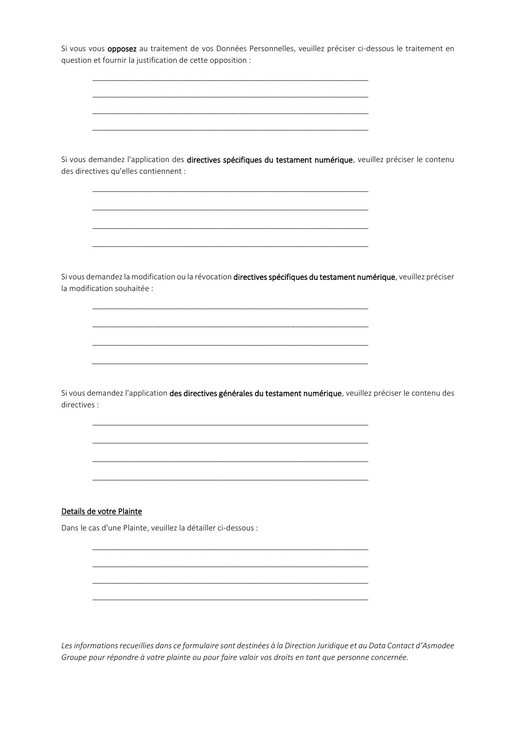Si vous vous opposez au traitement de vos Données Personnelles, veuillez préciser ci-dessous le traitement en question et fournir la justification de cette opposition :

\_\_\_\_\_\_\_\_\_\_\_\_\_\_\_\_\_\_\_\_\_\_\_\_\_\_\_\_\_\_\_\_\_\_\_\_\_\_\_\_\_\_\_\_\_\_\_\_\_\_\_\_\_\_\_\_\_\_\_\_\_\_\_\_ \_\_\_\_\_\_\_\_\_\_\_\_\_\_\_\_\_\_\_\_\_\_\_\_\_\_\_\_\_\_\_\_\_\_\_\_\_\_\_\_\_\_\_\_\_\_\_\_\_\_\_\_\_\_\_\_\_\_\_\_\_\_\_\_ \_\_\_\_\_\_\_\_\_\_\_\_\_\_\_\_\_\_\_\_\_\_\_\_\_\_\_\_\_\_\_\_\_\_\_\_\_\_\_\_\_\_\_\_\_\_\_\_\_\_\_\_\_\_\_\_\_\_\_\_\_\_\_\_ \_\_\_\_\_\_\_\_\_\_\_\_\_\_\_\_\_\_\_\_\_\_\_\_\_\_\_\_\_\_\_\_\_\_\_\_\_\_\_\_\_\_\_\_\_\_\_\_\_\_\_\_\_\_\_\_\_\_\_\_\_\_\_\_

\_\_\_\_\_\_\_\_\_\_\_\_\_\_\_\_\_\_\_\_\_\_\_\_\_\_\_\_\_\_\_\_\_\_\_\_\_\_\_\_\_\_\_\_\_\_\_\_\_\_\_\_\_\_\_\_\_\_\_\_\_\_\_\_

\_\_\_\_\_\_\_\_\_\_\_\_\_\_\_\_\_\_\_\_\_\_\_\_\_\_\_\_\_\_\_\_\_\_\_\_\_\_\_\_\_\_\_\_\_\_\_\_\_\_\_\_\_\_\_\_\_\_\_\_\_\_\_\_

\_\_\_\_\_\_\_\_\_\_\_\_\_\_\_\_\_\_\_\_\_\_\_\_\_\_\_\_\_\_\_\_\_\_\_\_\_\_\_\_\_\_\_\_\_\_\_\_\_\_\_\_\_\_\_\_\_\_\_\_\_\_\_\_

\_\_\_\_\_\_\_\_\_\_\_\_\_\_\_\_\_\_\_\_\_\_\_\_\_\_\_\_\_\_\_\_\_\_\_\_\_\_\_\_\_\_\_\_\_\_\_\_\_\_\_\_\_\_\_\_\_\_\_\_\_\_\_\_

\_\_\_\_\_\_\_\_\_\_\_\_\_\_\_\_\_\_\_\_\_\_\_\_\_\_\_\_\_\_\_\_\_\_\_\_\_\_\_\_\_\_\_\_\_\_\_\_\_\_\_\_\_\_\_\_\_\_\_\_\_\_\_\_

\_\_\_\_\_\_\_\_\_\_\_\_\_\_\_\_\_\_\_\_\_\_\_\_\_\_\_\_\_\_\_\_\_\_\_\_\_\_\_\_\_\_\_\_\_\_\_\_\_\_\_\_\_\_\_\_\_\_\_\_\_\_\_\_

\_\_\_\_\_\_\_\_\_\_\_\_\_\_\_\_\_\_\_\_\_\_\_\_\_\_\_\_\_\_\_\_\_\_\_\_\_\_\_\_\_\_\_\_\_\_\_\_\_\_\_\_\_\_\_\_\_\_\_\_\_\_\_\_

\_\_\_\_\_\_\_\_\_\_\_\_\_\_\_\_\_\_\_\_\_\_\_\_\_\_\_\_\_\_\_\_\_\_\_\_\_\_\_\_\_\_\_\_\_\_\_\_\_\_\_\_\_\_\_\_\_\_\_\_\_\_\_\_

\_\_\_\_\_\_\_\_\_\_\_\_\_\_\_\_\_\_\_\_\_\_\_\_\_\_\_\_\_\_\_\_\_\_\_\_\_\_\_\_\_\_\_\_\_\_\_\_\_\_\_\_\_\_\_\_\_\_\_\_\_\_\_\_

\_\_\_\_\_\_\_\_\_\_\_\_\_\_\_\_\_\_\_\_\_\_\_\_\_\_\_\_\_\_\_\_\_\_\_\_\_\_\_\_\_\_\_\_\_\_\_\_\_\_\_\_\_\_\_\_\_\_\_\_\_\_\_\_

\_\_\_\_\_\_\_\_\_\_\_\_\_\_\_\_\_\_\_\_\_\_\_\_\_\_\_\_\_\_\_\_\_\_\_\_\_\_\_\_\_\_\_\_\_\_\_\_\_\_\_\_\_\_\_\_\_\_\_\_\_\_\_\_

\_\_\_\_\_\_\_\_\_\_\_\_\_\_\_\_\_\_\_\_\_\_\_\_\_\_\_\_\_\_\_\_\_\_\_\_\_\_\_\_\_\_\_\_\_\_\_\_\_\_\_\_\_\_\_\_\_\_\_\_\_\_\_\_

\_\_\_\_\_\_\_\_\_\_\_\_\_\_\_\_\_\_\_\_\_\_\_\_\_\_\_\_\_\_\_\_\_\_\_\_\_\_\_\_\_\_\_\_\_\_\_\_\_\_\_\_\_\_\_\_\_\_\_\_\_\_\_\_ \_\_\_\_\_\_\_\_\_\_\_\_\_\_\_\_\_\_\_\_\_\_\_\_\_\_\_\_\_\_\_\_\_\_\_\_\_\_\_\_\_\_\_\_\_\_\_\_\_\_\_\_\_\_\_\_\_\_\_\_\_\_\_\_ \_\_\_\_\_\_\_\_\_\_\_\_\_\_\_\_\_\_\_\_\_\_\_\_\_\_\_\_\_\_\_\_\_\_\_\_\_\_\_\_\_\_\_\_\_\_\_\_\_\_\_\_\_\_\_\_\_\_\_\_\_\_\_\_ \_\_\_\_\_\_\_\_\_\_\_\_\_\_\_\_\_\_\_\_\_\_\_\_\_\_\_\_\_\_\_\_\_\_\_\_\_\_\_\_\_\_\_\_\_\_\_\_\_\_\_\_\_\_\_\_\_\_\_\_\_\_\_\_

Si vous demandez l'application des directives spécifiques du testament numérique, veuillez préciser le contenu des directives qu'elles contiennent :

Si vous demandez la modification ou la révocation directives spécifiques du testament numérique, veuillez préciser la modification souhaitée :

Si vous demandez l'application des directives générales du testament numérique, veuillez préciser le contenu des directives :

#### Details de votre Plainte

Dans le cas d'une Plainte, veuillez la détailler ci-dessous :

*Les informations recueillies dans ce formulaire sont destinées à la Direction Juridique et au Data Contact d'Asmodee Groupe pour répondre à votre plainte ou pour faire valoir vos droits en tant que personne concernée.*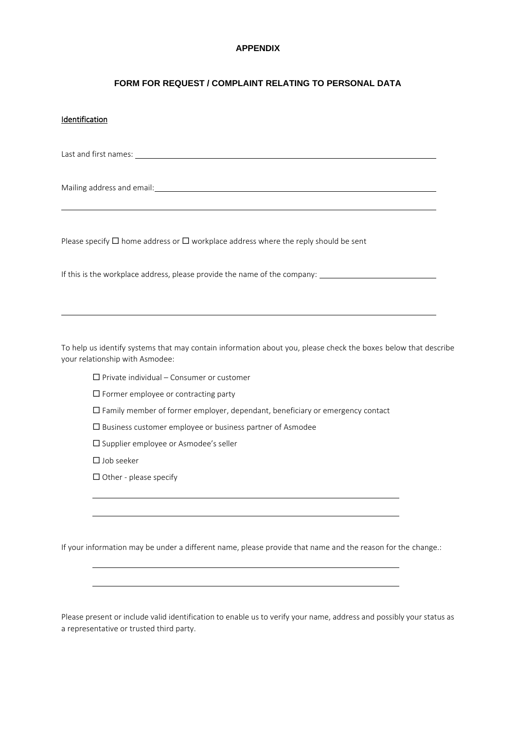## **APPENDIX**

# **FORM FOR REQUEST / COMPLAINT RELATING TO PERSONAL DATA**

### Identification

Last and first names: Last names and the set of the set of the set of the set of the set of the set of the set of the set of the set of the set of the set of the set of the set of the set of the set of the set of the set o

Mailing address and email:

Please specify  $\Box$  home address or  $\Box$  workplace address where the reply should be sent

If this is the workplace address, please provide the name of the company:

To help us identify systems that may contain information about you, please check the boxes below that describe your relationship with Asmodee:

 $\square$  Private individual – Consumer or customer

 $\square$  Former employee or contracting party

 $\Box$  Family member of former employer, dependant, beneficiary or emergency contact

 $\square$  Business customer employee or business partner of Asmodee

 $\square$  Supplier employee or Asmodee's seller

 $\square$  Job seeker

 $\Box$  Other - please specify

If your information may be under a different name, please provide that name and the reason for the change.:

Please present or include valid identification to enable us to verify your name, address and possibly your status as a representative or trusted third party.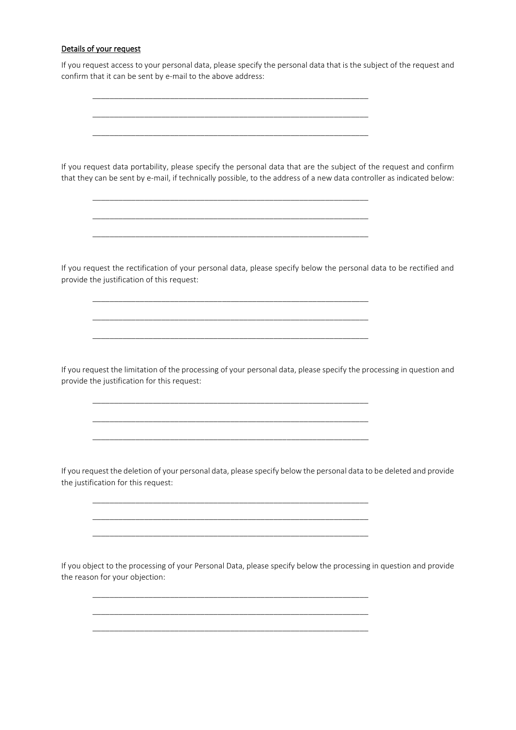#### Details of your request

If you request access to your personal data, please specify the personal data that is the subject of the request and confirm that it can be sent by e-mail to the above address:

\_\_\_\_\_\_\_\_\_\_\_\_\_\_\_\_\_\_\_\_\_\_\_\_\_\_\_\_\_\_\_\_\_\_\_\_\_\_\_\_\_\_\_\_\_\_\_\_\_\_\_\_\_\_\_\_\_\_\_\_\_\_\_\_

\_\_\_\_\_\_\_\_\_\_\_\_\_\_\_\_\_\_\_\_\_\_\_\_\_\_\_\_\_\_\_\_\_\_\_\_\_\_\_\_\_\_\_\_\_\_\_\_\_\_\_\_\_\_\_\_\_\_\_\_\_\_\_\_

\_\_\_\_\_\_\_\_\_\_\_\_\_\_\_\_\_\_\_\_\_\_\_\_\_\_\_\_\_\_\_\_\_\_\_\_\_\_\_\_\_\_\_\_\_\_\_\_\_\_\_\_\_\_\_\_\_\_\_\_\_\_\_\_

\_\_\_\_\_\_\_\_\_\_\_\_\_\_\_\_\_\_\_\_\_\_\_\_\_\_\_\_\_\_\_\_\_\_\_\_\_\_\_\_\_\_\_\_\_\_\_\_\_\_\_\_\_\_\_\_\_\_\_\_\_\_\_\_

\_\_\_\_\_\_\_\_\_\_\_\_\_\_\_\_\_\_\_\_\_\_\_\_\_\_\_\_\_\_\_\_\_\_\_\_\_\_\_\_\_\_\_\_\_\_\_\_\_\_\_\_\_\_\_\_\_\_\_\_\_\_\_\_

\_\_\_\_\_\_\_\_\_\_\_\_\_\_\_\_\_\_\_\_\_\_\_\_\_\_\_\_\_\_\_\_\_\_\_\_\_\_\_\_\_\_\_\_\_\_\_\_\_\_\_\_\_\_\_\_\_\_\_\_\_\_\_\_

\_\_\_\_\_\_\_\_\_\_\_\_\_\_\_\_\_\_\_\_\_\_\_\_\_\_\_\_\_\_\_\_\_\_\_\_\_\_\_\_\_\_\_\_\_\_\_\_\_\_\_\_\_\_\_\_\_\_\_\_\_\_\_\_

\_\_\_\_\_\_\_\_\_\_\_\_\_\_\_\_\_\_\_\_\_\_\_\_\_\_\_\_\_\_\_\_\_\_\_\_\_\_\_\_\_\_\_\_\_\_\_\_\_\_\_\_\_\_\_\_\_\_\_\_\_\_\_\_

\_\_\_\_\_\_\_\_\_\_\_\_\_\_\_\_\_\_\_\_\_\_\_\_\_\_\_\_\_\_\_\_\_\_\_\_\_\_\_\_\_\_\_\_\_\_\_\_\_\_\_\_\_\_\_\_\_\_\_\_\_\_\_\_

\_\_\_\_\_\_\_\_\_\_\_\_\_\_\_\_\_\_\_\_\_\_\_\_\_\_\_\_\_\_\_\_\_\_\_\_\_\_\_\_\_\_\_\_\_\_\_\_\_\_\_\_\_\_\_\_\_\_\_\_\_\_\_\_

\_\_\_\_\_\_\_\_\_\_\_\_\_\_\_\_\_\_\_\_\_\_\_\_\_\_\_\_\_\_\_\_\_\_\_\_\_\_\_\_\_\_\_\_\_\_\_\_\_\_\_\_\_\_\_\_\_\_\_\_\_\_\_\_

\_\_\_\_\_\_\_\_\_\_\_\_\_\_\_\_\_\_\_\_\_\_\_\_\_\_\_\_\_\_\_\_\_\_\_\_\_\_\_\_\_\_\_\_\_\_\_\_\_\_\_\_\_\_\_\_\_\_\_\_\_\_\_\_

\_\_\_\_\_\_\_\_\_\_\_\_\_\_\_\_\_\_\_\_\_\_\_\_\_\_\_\_\_\_\_\_\_\_\_\_\_\_\_\_\_\_\_\_\_\_\_\_\_\_\_\_\_\_\_\_\_\_\_\_\_\_\_\_ \_\_\_\_\_\_\_\_\_\_\_\_\_\_\_\_\_\_\_\_\_\_\_\_\_\_\_\_\_\_\_\_\_\_\_\_\_\_\_\_\_\_\_\_\_\_\_\_\_\_\_\_\_\_\_\_\_\_\_\_\_\_\_\_ \_\_\_\_\_\_\_\_\_\_\_\_\_\_\_\_\_\_\_\_\_\_\_\_\_\_\_\_\_\_\_\_\_\_\_\_\_\_\_\_\_\_\_\_\_\_\_\_\_\_\_\_\_\_\_\_\_\_\_\_\_\_\_\_

\_\_\_\_\_\_\_\_\_\_\_\_\_\_\_\_\_\_\_\_\_\_\_\_\_\_\_\_\_\_\_\_\_\_\_\_\_\_\_\_\_\_\_\_\_\_\_\_\_\_\_\_\_\_\_\_\_\_\_\_\_\_\_\_ \_\_\_\_\_\_\_\_\_\_\_\_\_\_\_\_\_\_\_\_\_\_\_\_\_\_\_\_\_\_\_\_\_\_\_\_\_\_\_\_\_\_\_\_\_\_\_\_\_\_\_\_\_\_\_\_\_\_\_\_\_\_\_\_ \_\_\_\_\_\_\_\_\_\_\_\_\_\_\_\_\_\_\_\_\_\_\_\_\_\_\_\_\_\_\_\_\_\_\_\_\_\_\_\_\_\_\_\_\_\_\_\_\_\_\_\_\_\_\_\_\_\_\_\_\_\_\_\_

If you request data portability, please specify the personal data that are the subject of the request and confirm that they can be sent by e-mail, if technically possible, to the address of a new data controller as indicated below:

If you request the rectification of your personal data, please specify below the personal data to be rectified and provide the justification of this request:

If you request the limitation of the processing of your personal data, please specify the processing in question and provide the justification for this request:

If you request the deletion of your personal data, please specify below the personal data to be deleted and provide the justification for this request:

If you object to the processing of your Personal Data, please specify below the processing in question and provide the reason for your objection: